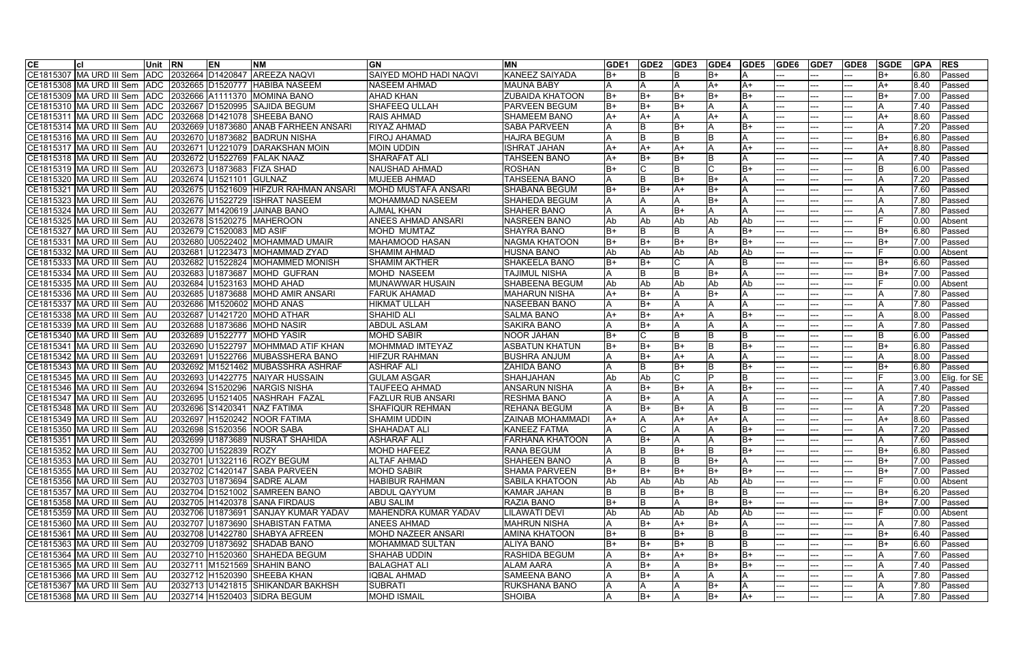| <b>CE</b> | lcl                           | <b>Unit</b> | <b>RN</b> | <b>EN</b>             | <b>NM</b>                           | <b>GN</b>                     | <b>MN</b>               | GDE <sub>1</sub> | GDE <sub>2</sub> | GDE3       | GDE4  | GDE5  | <b>GDE6</b> | GDE7 | GDE8 | <b>SGDE</b> | <b>GPA</b> | <b>RES</b>     |
|-----------|-------------------------------|-------------|-----------|-----------------------|-------------------------------------|-------------------------------|-------------------------|------------------|------------------|------------|-------|-------|-------------|------|------|-------------|------------|----------------|
|           | CE1815307 MA URD III Sem      | <b>ADC</b>  |           | 2032664 D1420847      | <b>AREEZA NAQVI</b>                 | <b>SAIYED MOHD HADI NAQVI</b> | <b>KANEEZ SAIYADA</b>   | B+               |                  |            | B+    |       |             |      |      | lB+         | 6.80       | <b>IPassed</b> |
|           | CE1815308 MA URD III Sem      | <b>ADC</b>  |           | 2032665 D1520777      | <b>HABIBA NASEEM</b>                | NASEEM AHMAD                  | <b>MAUNA BABY</b>       | Α                |                  |            | A+    | $A+$  |             |      |      | A+          | 8.40       | Passed         |
|           | CE1815309 MA URD III Sem      | <b>ADC</b>  |           | 2032666 A1111370      | <b>MOMINA BANO</b>                  | <b>AHAD KHAN</b>              | <b>ZUBAIDA KHATOON</b>  | $B+$             | B+               | IB+        | B+    | IB+   |             |      |      | B+          | 7.00       | Passed         |
|           | CE1815310 MA URD III Sem      | <b>ADC</b>  |           | 2032667 D1520995      | <b>SAJIDA BEGUM</b>                 | <b>SHAFEEQ ULLAH</b>          | <b>PARVEEN BEGUM</b>    | B+               | B+               | IB+        |       | A     |             |      |      |             | 7.40       | Passed         |
|           | CE1815311 MA URD III Sem      | <b>ADC</b>  |           | 2032668 D1421078      | <b>SHEEBA BANO</b>                  | <b>RAIS AHMAD</b>             | <b>SHAMEEM BANO</b>     | A+               | A+               |            | A+    | A     |             |      |      | A+          | 8.60       | Passed         |
|           | CE1815314 MA URD III Sem      | <b>AU</b>   |           | 2032669 U1873680      | <b>ANAB FARHEEN ANSARI</b>          | <b>RIYAZ AHMAD</b>            | <b>SABA PARVEEN</b>     |                  | B                | B+         |       | lB+   |             |      |      |             | 7.20       | <b>Passed</b>  |
|           | CE1815316 MA URD III Sem      | <b>IAU</b>  |           | 2032670 U1873682      | <b>BADRUN NISHA</b>                 | <b>FIROJ AHAMAD</b>           | <b>HAJRA BEGUM</b>      |                  |                  | ΙB         |       | ΙA    |             |      |      | B+          | 6.80       | <b>Passed</b>  |
|           | CE1815317 MA URD III Sem      | <b>AU</b>   |           | 2032671 U1221079      | <b>DARAKSHAN MOIN</b>               | <b>MOIN UDDIN</b>             | <b>ISHRAT JAHAN</b>     | $A+$             | A+               | $A+$       |       | $A+$  |             |      |      | A+          | 8.80       | <b>Passed</b>  |
|           | CE1815318 MA URD III Sem      | <b>AU</b>   |           | 2032672 U1522769      | <b>FALAK NAAZ</b>                   | <b>SHARAFAT ALI</b>           | <b>TAHSEEN BANO</b>     | A+               | B+               | B+         |       | A     |             |      |      |             | 7.40       | Passed         |
|           | CE1815319 MA URD III Sem      | <b>IAU</b>  |           | 2032673 U1873683      | <b>FIZA SHAD</b>                    | <b>NAUSHAD AHMAD</b>          | <b>ROSHAN</b>           | $B+$             |                  | ΙB         |       | lB+   |             |      |      |             | 6.00       | Passed         |
|           | CE1815320 MA URD III Sem      | <b>AU</b>   |           | 2032674 U1521101      | GULNAZ                              | <b>MUJEEB AHMAD</b>           | <b>TAHSEENA BANO</b>    |                  | B                | B+         | B+    | A     |             |      |      |             | 7.20       | Passed         |
|           | CE1815321 MA URD III Sem      | <b>JAU</b>  |           | 2032675 U1521609      | <b>HIFZUR RAHMAN ANSARI</b>         | <b>MOHD MUSTAFA ANSARI</b>    | <b>SHABANA BEGUM</b>    | $B+$             | B+               | A+         | B+    | ΙA    |             |      |      |             | 7.60       | Passed         |
|           | CE1815323 MA URD III Sem      | TAL.        |           | 2032676 U1522729      | <b>ISHRAT NASEEM</b>                | MOHAMMAD NASEEM               | SHAHEDA BEGUM           |                  |                  |            | B+    | ΙA    |             |      |      |             | 7.80       | Passed         |
|           | CE1815324 MA URD III Sem      | <b>JAU</b>  |           | 2032677 M1420619      | <b>JAINAB BANO</b>                  | AJMAL KHAN                    | <b>SHAHER BANO</b>      |                  |                  | B+         |       | A     |             |      |      |             | 7.80       | <b>Passed</b>  |
|           | CE1815325 MA URD III Sem      | <b>IAU</b>  |           | 2032678 S1520275      | <b>MAHEROON</b>                     | <b>ANEES AHMAD ANSARI</b>     | <b>NASREEN BANO</b>     | Ab               | Ab               | Ab         | Ab    | Ab    |             |      |      |             | 0.00       | <b>Absent</b>  |
|           | CE1815327 MA URD III Sem      | IAU         |           | 2032679 C1520083      | <b>MD ASIF</b>                      | <b>MOHD MUMTAZ</b>            | <b>SHAYRA BANO</b>      | $B+$             | B                |            |       | IB+   |             |      |      | B+          | 6.80       | Passed         |
|           | CE1815331 MA URD III Sem      | <b>AU</b>   |           | 2032680 U0522402      | <b>MOHAMMAD UMAIR</b>               | <b>MAHAMOOD HASAN</b>         | NAGMA KHATOON           | $B+$             | $B+$             | B+         | B+    | IB+   |             |      |      | B+          | 7.00       | Passed         |
|           | CE1815332 MA URD III Sem      | <b>IAU</b>  |           | 2032681 U1223473      | <b>MOHAMMAD ZYAD</b>                | <b>SHAMIM AHMAD</b>           | <b>HUSNA BANO</b>       | Ab               | Ab               | Ab         | Ab    | Ab    |             |      |      |             | 0.00       | Absent         |
|           | CE1815333 MA URD III Sem      | <b>IAU</b>  |           | 2032682 U1522824      | <b>MOHAMMED MONISH</b>              | <b>SHAMIM AKTHER</b>          | <b>SHAKEELA BANO</b>    | $B+$             | B+               |            |       | IB.   |             |      |      | B+          | 6.60       | <b>Passed</b>  |
|           | CE1815334 MA URD III Sem      | <b>IAU</b>  |           | 2032683 U1873687      | <b>MOHD GUFRAN</b>                  | <b>MOHD NASEEM</b>            | TAJIMUL NISHA           |                  |                  | lΒ         | B+    | ΙA    |             |      |      | B+          | 7.00       | <b>Passed</b>  |
|           | CE1815335 MA URD III Sem      | <b>IAU</b>  |           | 2032684 U1523163      | <b>MOHD AHAD</b>                    | MUNAWWAR HUSAIN               | <b>SHABEENA BEGUM</b>   | <b>Ab</b>        | Ab               | Ab         | Ab    | Ab    |             |      |      |             | 0.00       | Absent         |
|           | CE1815336 MA URD III Sem      | <b>AU</b>   |           | 2032685 U1873688      | <b>MOHD AMIR ANSARI</b>             | <b>FARUK AHAMAD</b>           | <b>MAHARUN NISHA</b>    | A+               | B+               |            | B+    | IA.   |             |      |      |             | 7.80       | Passed         |
|           | CE1815337 MA URD III Sem AU   |             |           |                       | 2032686 M1520602 MOHD ANAS          | <b>HIKMAT ULLAH</b>           | <b>NASEEBAN BANO</b>    |                  | B+               |            |       | IA.   |             |      |      |             | 7.80       | Passed         |
|           | CE1815338 MA URD III Sem      | <b>AU</b>   |           | 2032687 U1421720      | <b>MOHD ATHAR</b>                   | <b>SHAHID ALI</b>             | <b>SALMA BANO</b>       | A+               | $B+$             | A+         |       | IB+   |             |      |      |             | 8.00       | <b>Passed</b>  |
|           | CE1815339 MA URD III Sem      | -lau        | 2032688   | U1873686              | <b>MOHD NASIR</b>                   | <b>ABDUL ASLAM</b>            | <b>SAKIRA BANO</b>      |                  | $B+$             |            |       | ΙA    |             |      |      |             | 7.80       | Passed         |
|           | CE1815340 MA URD III Sem      | <b>JAU</b>  |           | 2032689 U1522777      | <b>MOHD YASIR</b>                   | <b>MOHD SABIR</b>             | <b>NOOR JAHAN</b>       | $B+$             |                  |            |       | lΒ    |             |      |      |             | 6.00       | <b>Passed</b>  |
|           | CE1815341 MA URD III Sem      | IAU         | 2032690   | U1522797              | <b>MOHMMAD ATIF KHAN</b>            | <b>MOHMMAD IMTEYAZ</b>        | <b>ASBATUN KHATUN</b>   | $B+$             | $B+$             | IB+        |       | $B+$  |             |      |      | B+          | 6.80       | <b>Passed</b>  |
|           | CE1815342 MA URD III Sem      | IAU         | 2032691   | U1522766              | MUBASSHERA BANO                     | <b>HIFZUR RAHMAN</b>          | <b>IBUSHRA ANJUM</b>    |                  | B+               | A+         |       | A     |             |      |      |             | 8.00       | Passed         |
|           | CE1815343 MA URD III Sem      | IAU.        |           | 2032692 M1521462      | IMUBASSHRA ASHRAF                   | <b>ASHRAF ALI</b>             | <b>ZAHIDA BANO</b>      |                  |                  | lB+        |       | B+    |             |      |      | B+          | 6.80       | Passed         |
|           | CE1815345 MA URD III Sem      | <b>AU</b>   |           | 2032693 U1422775      | <b>NAIYAR HUSSAIN</b>               | <b>GULAM ASGAR</b>            | SHAHJAHAN               | Ab               | Ab               |            |       | IB.   |             |      |      |             | 3.00       | Elig. for SE   |
|           | CE1815346 MA URD III Sem      | <b>JAU</b>  |           | 2032694 S1520296      | <b>NARGIS NISHA</b>                 | <b>TAUFEEQ AHMAD</b>          | <b>ANSARUN NISHA</b>    |                  | B+               | $B+$       |       | B+    |             |      |      |             | 7.40       | Passed         |
|           | CE1815347 MA URD III Sem      | <b>IAU</b>  |           | 2032695 U1521405      | NASHRAH FAZAL                       | <b>FAZLUR RUB ANSARI</b>      | <b>RESHMA BANO</b>      |                  | B+               |            |       |       |             |      |      |             | 7.80       | Passed         |
|           | CE1815348 MA URD III Sem      | <b>AU</b>   |           | 2032696 S142034       | <b>NAZ FATIMA</b>                   | <b>SHAFIQUR REHMAN</b>        | <b>REHANA BEGUM</b>     |                  | $B+$             | B+         |       | lΒ    |             |      |      |             | 7.20       | Passed         |
|           | CE1815349 MA URD III Sem      | <b>IAU</b>  | 2032697   | H1520242              | <b>NOOR FATIMA</b>                  | <b>SHAMIM UDDIN</b>           | <b>ZAINAB MOHAMMADI</b> | A+               |                  | A+         |       | A     |             |      |      | A+          | 8.60       | <b>Passed</b>  |
|           | CE1815350 MA URD III Sem AU   |             |           |                       | 2032698 S1520356 NOOR SABA          | <b>SHAHADAT ALI</b>           | <b>KANEEZ FATMA</b>     |                  |                  |            |       | IB+   |             |      |      |             | 7.20       | Passed         |
|           | CE1815351 MA URD III Sem AU   |             |           |                       | 2032699 U1873689 NUSRAT SHAHIDA     | <b>ASHARAF ALI</b>            | <b>FARHANA KHATOON</b>  | IA.              | $ B+$            | <b>J</b> A |       | B+    | $---$       | ---  | ---  | ΙA          | 7.60       | <b>Passed</b>  |
|           | CE1815352 MA URD III Sem AU   |             |           | 2032700 U1522839 ROZY |                                     | <b>MOHD HAFEEZ</b>            | <b>RANA BEGUM</b>       |                  | IΒ               | IB+        |       | IB+   |             |      |      | B+          | 6.80       | Passed         |
|           | CE1815353 MA URD III Sem AU   |             |           |                       | 2032701 U1322116 ROZY BEGUM         | <b>ALTAF AHMAD</b>            | <b>SHAHEEN BANO</b>     |                  |                  |            | $B+$  |       |             |      |      | B+          | 7.00       | Passed         |
|           | CE1815355 MA URD III Sem AU   |             |           |                       | 2032702 C1420147 SABA PARVEEN       | <b>MOHD SABIR</b>             | <b>SHAMA PARVEEN</b>    | B+               | B+               | IB+        | B+    | $ B+$ |             |      | ---  | B+          | 7.00       | Passed         |
|           | CE1815356 MA URD III Sem AU   |             |           |                       | 2032703 U1873694 SADRE ALAM         | <b>HABIBUR RAHMAN</b>         | <b>SABILA KHATOON</b>   | l Ab             | Ab               | Ab         | Ab    | Ab    |             |      | ---  |             | 0.00       | Absent         |
|           | CE1815357 MA URD III Sem AU   |             |           |                       | 2032704 D1521002 SAMREEN BANO       | <b>ABDUL QAYYUM</b>           | <b>KAMAR JAHAN</b>      |                  | B                | lB+        |       | ΙB    |             |      |      | lB+         | 6.20       | Passed         |
|           | CE1815358 MA URD III Sem AU   |             |           |                       | 2032705 H1420378 SANA FIRDAUS       | <b>ABU SALIM</b>              | <b>RAZIA BANO</b>       | $B+$             | B                |            | $B+$  | IB+   |             |      |      | lB+         | 7.00       | Passed         |
|           | CE1815359 MA URD III Sem AU   |             |           |                       | 2032706 U1873691 SANJAY KUMAR YADAV | <b>MAHENDRA KUMAR YADAV</b>   | <b>LILAWATI DEVI</b>    | Ab               | Ab               | Ab         | Ab    | Ab    |             |      |      |             | 0.00       | Absent         |
|           | CE1815360 MA URD III Sem AU   |             |           |                       | 2032707 U1873690 SHABISTAN FATMA    | <b>ANEES AHMAD</b>            | <b>MAHRUN NISHA</b>     |                  | $B+$             | $A+$       | B+    |       |             |      |      |             | 7.80       | Passed         |
|           | CE1815361 MA URD III Sem AU   |             |           |                       | 2032708 U1422780 SHABYA AFREEN      | <b>MOHD NAZEER ANSARI</b>     | <b>AMINA KHATOON</b>    | $B+$             | B                | lB+        |       | lΒ    |             |      |      | lB+         | 6.40       | Passed         |
|           | CE1815363 MA URD III Sem   AU |             |           |                       | 2032709 U1873692 SHADAB BANO        | <b>MOHAMMAD SULTAN</b>        | <b>ALIYA BANO</b>       | $B+$             | B+               | B+         |       | lΒ    |             |      |      | B+          | 6.60       | Passed         |
|           | CE1815364 MA URD III Sem   AU |             |           |                       | 2032710 H1520360 SHAHEDA BEGUM      | <b>SHAHAB UDDIN</b>           | <b>RASHIDA BEGUM</b>    |                  | $B+$             | A+         | B+    | B+    |             |      |      |             | 7.60       | Passed         |
|           | CE1815365 MA URD III Sem AU   |             |           |                       | 2032711 M1521569 SHAHIN BANO        | <b>BALAGHAT ALI</b>           | <b>ALAM AARA</b>        |                  | B+               |            | B+    | lB+   |             |      |      |             | 7.40       | Passed         |
|           | CE1815366 MA URD III Sem AU   |             |           |                       | 2032712 H1520390 SHEEBA KHAN        | <b>IQBAL AHMAD</b>            | <b>SAMEENA BANO</b>     |                  | $B+$             |            |       |       |             |      |      |             | 7.80       | Passed         |
|           | CE1815367 MA URD III Sem AU   |             |           |                       | 2032713 U1421815 SHIKANDAR BAKHSH   | <b>SUBRATI</b>                | <b>RUKSHANA BANO</b>    |                  |                  |            | B+    |       |             |      |      |             | 7.80       | Passed         |
|           | CE1815368 MA URD III Sem AU   |             |           |                       | 2032714 H1520403 SIDRA BEGUM        | <b>MOHD ISMAIL</b>            | <b>SHOIBA</b>           | A                | IB+              | ΙA         | $ B+$ | $A+$  |             |      |      |             | 7.80       | Passed         |